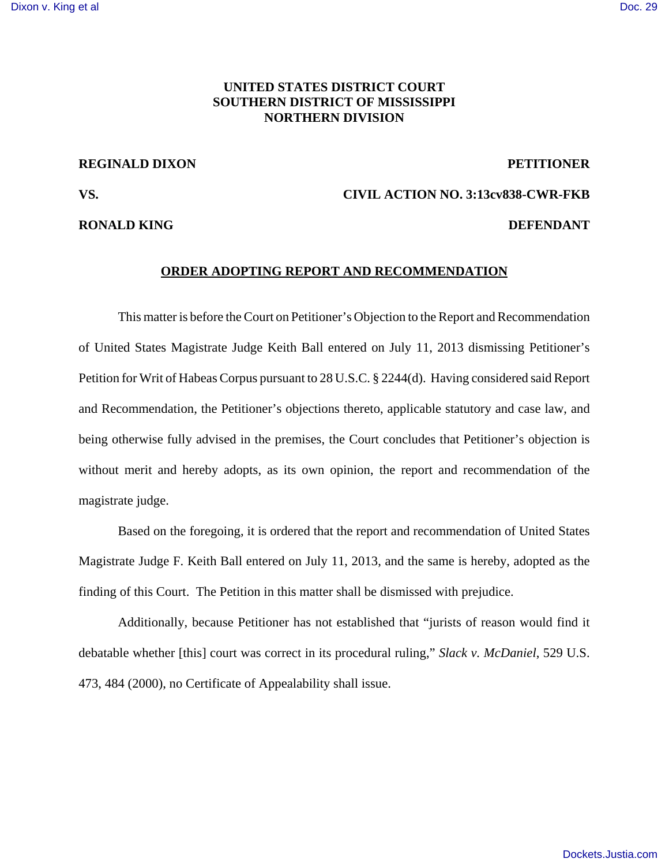## **UNITED STATES DISTRICT COURT SOUTHERN DISTRICT OF MISSISSIPPI NORTHERN DIVISION**

## **REGINALD DIXON PETITIONER**

**RONALD KING DEFENDANT** 

# **VS. CIVIL ACTION NO. 3:13cv838-CWR-FKB**

### **ORDER ADOPTING REPORT AND RECOMMENDATION**

This matter is before the Court on Petitioner's Objection to the Report and Recommendation of United States Magistrate Judge Keith Ball entered on July 11, 2013 dismissing Petitioner's Petition for Writ of Habeas Corpus pursuant to 28 U.S.C. § 2244(d). Having considered said Report and Recommendation, the Petitioner's objections thereto, applicable statutory and case law, and being otherwise fully advised in the premises, the Court concludes that Petitioner's objection is without merit and hereby adopts, as its own opinion, the report and recommendation of the magistrate judge.

Based on the foregoing, it is ordered that the report and recommendation of United States Magistrate Judge F. Keith Ball entered on July 11, 2013, and the same is hereby, adopted as the finding of this Court. The Petition in this matter shall be dismissed with prejudice.

Additionally, because Petitioner has not established that "jurists of reason would find it debatable whether [this] court was correct in its procedural ruling," *Slack v. McDaniel*, 529 U.S. 473, 484 (2000), no Certificate of Appealability shall issue.